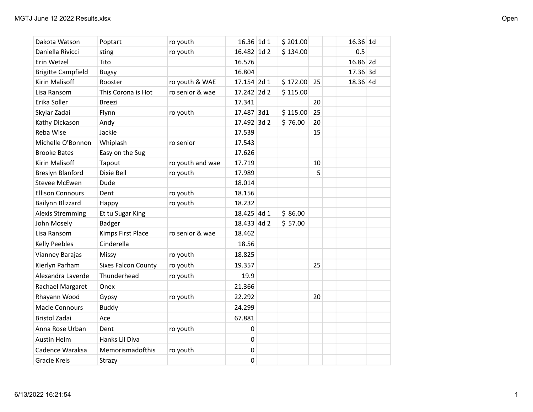| Dakota Watson             | Poptart                    | ro youth         | 16.36 1d 1  | \$201.00 |    | $16.36$ 1d |  |
|---------------------------|----------------------------|------------------|-------------|----------|----|------------|--|
| Daniella Rivicci          | sting                      | ro youth         | 16.482 1d 2 | \$134.00 |    | 0.5        |  |
| Erin Wetzel               | Tito                       |                  | 16.576      |          |    | 16.86 2d   |  |
| <b>Brigitte Campfield</b> | <b>Bugsy</b>               |                  | 16.804      |          |    | $17.36$ 3d |  |
| Kirin Malisoff            | Rooster                    | ro youth & WAE   | 17.154 2d 1 | \$172.00 | 25 | $18.36$ 4d |  |
| Lisa Ransom               | This Corona is Hot         | ro senior & wae  | 17.242 2d 2 | \$115.00 |    |            |  |
| Erika Soller              | <b>Breezi</b>              |                  | 17.341      |          | 20 |            |  |
| Skylar Zadai              | Flynn                      | ro youth         | 17.487 3d1  | \$115.00 | 25 |            |  |
| Kathy Dickason            | Andy                       |                  | 17.492 3d 2 | \$76.00  | 20 |            |  |
| Reba Wise                 | Jackie                     |                  | 17.539      |          | 15 |            |  |
| Michelle O'Bonnon         | Whiplash                   | ro senior        | 17.543      |          |    |            |  |
| <b>Brooke Bates</b>       | Easy on the Sug            |                  | 17.626      |          |    |            |  |
| Kirin Malisoff            | Tapout                     | ro youth and wae | 17.719      |          | 10 |            |  |
| <b>Breslyn Blanford</b>   | Dixie Bell                 | ro youth         | 17.989      |          | 5  |            |  |
| Stevee McEwen             | Dude                       |                  | 18.014      |          |    |            |  |
| <b>Ellison Connours</b>   | Dent                       | ro youth         | 18.156      |          |    |            |  |
| Bailynn Blizzard          | Happy                      | ro youth         | 18.232      |          |    |            |  |
| <b>Alexis Stremming</b>   | Et tu Sugar King           |                  | 18.425 4d 1 | \$86.00  |    |            |  |
| John Mosely               | <b>Badger</b>              |                  | 18.433 4d 2 | \$57.00  |    |            |  |
| Lisa Ransom               | Kimps First Place          | ro senior & wae  | 18.462      |          |    |            |  |
| <b>Kelly Peebles</b>      | Cinderella                 |                  | 18.56       |          |    |            |  |
| Vianney Barajas           | Missy                      | ro youth         | 18.825      |          |    |            |  |
| Kierlyn Parham            | <b>Sixes Falcon County</b> | ro youth         | 19.357      |          | 25 |            |  |
| Alexandra Laverde         | Thunderhead                | ro youth         | 19.9        |          |    |            |  |
| Rachael Margaret          | Onex                       |                  | 21.366      |          |    |            |  |
| Rhayann Wood              | Gypsy                      | ro youth         | 22.292      |          | 20 |            |  |
| <b>Macie Connours</b>     | <b>Buddy</b>               |                  | 24.299      |          |    |            |  |
| <b>Bristol Zadai</b>      | Ace                        |                  | 67.881      |          |    |            |  |
| Anna Rose Urban           | Dent                       | ro youth         | $\pmb{0}$   |          |    |            |  |
| <b>Austin Helm</b>        | Hanks Lil Diva             |                  | $\mathbf 0$ |          |    |            |  |
| Cadence Waraksa           | Memorismadofthis           | ro youth         | $\pmb{0}$   |          |    |            |  |
| <b>Gracie Kreis</b>       | Strazy                     |                  | $\mathbf 0$ |          |    |            |  |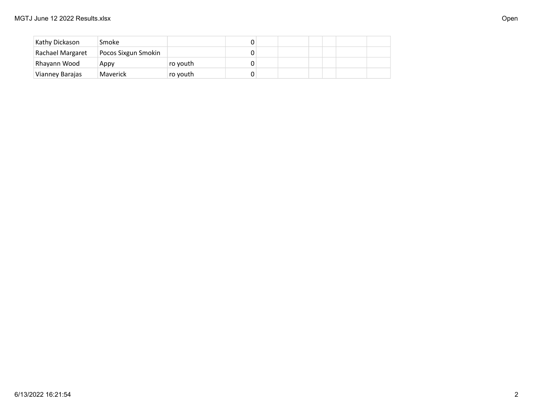| Kathy Dickason   | <b>Smoke</b>        |          |  |  |  |  |
|------------------|---------------------|----------|--|--|--|--|
| Rachael Margaret | Pocos Sixgun Smokin |          |  |  |  |  |
| Rhayann Wood     | Appy                | ro youth |  |  |  |  |
| Vianney Barajas  | Maverick            | ro youth |  |  |  |  |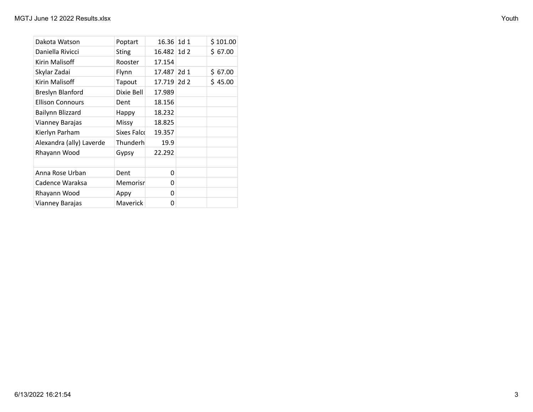| Dakota Watson            | Poptart         | 16.36 1d 1  | \$101.00 |
|--------------------------|-----------------|-------------|----------|
| Daniella Rivicci         | <b>Sting</b>    | 16.482 1d 2 | \$67.00  |
| Kirin Malisoff           | Rooster         | 17.154      |          |
| Skylar Zadai             | Flynn           | 17.487 2d 1 | \$67.00  |
| Kirin Malisoff           | Tapout          | 17.719 2d 2 | \$45.00  |
| Breslyn Blanford         | Dixie Bell      | 17.989      |          |
| <b>Ellison Connours</b>  | Dent            | 18.156      |          |
| Bailynn Blizzard         | Happy           | 18.232      |          |
| Vianney Barajas          | Missy           | 18.825      |          |
| Kierlyn Parham           | Sixes Falcd     | 19.357      |          |
| Alexandra (ally) Laverde | Thunderh        | 19.9        |          |
| Rhayann Wood             | Gypsy           | 22.292      |          |
|                          |                 |             |          |
| Anna Rose Urban          | Dent            | 0           |          |
| Cadence Waraksa          | Memorisn        | 0           |          |
| Rhayann Wood             | Appy            | 0           |          |
| Vianney Barajas          | <b>Maverick</b> | 0           |          |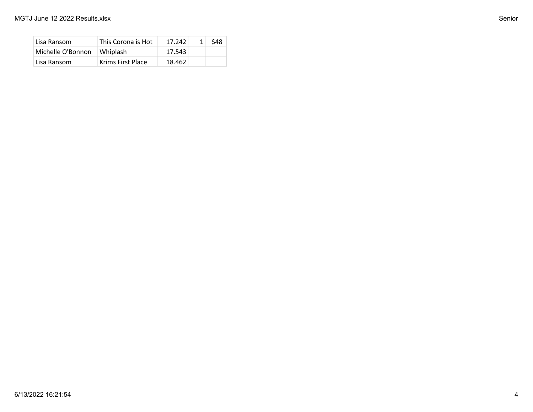| Lisa Ransom       | This Corona is Hot | 17.242 | \$48 |
|-------------------|--------------------|--------|------|
| Michelle O'Bonnon | Whiplash           | 17.543 |      |
| Lisa Ransom       | Krims First Place  | 18.462 |      |